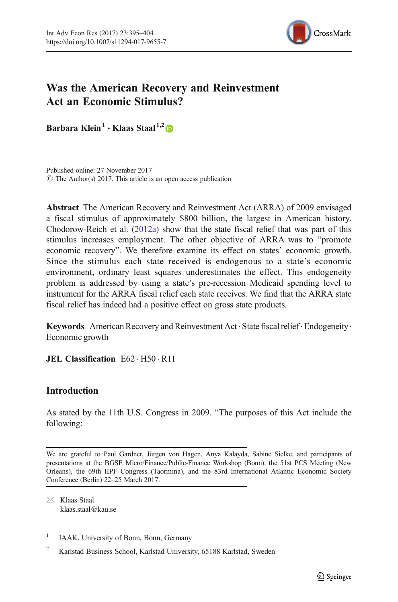

# Was the American Recovery and Reinvestment Act an Economic Stimulus?

Barbara Klein<sup>1</sup>  $\cdot$  Klaas Staal<sup>1,2</sup>

Published online: 27 November 2017  $\circ$  The Author(s) 2017. This article is an open access publication

Abstract The American Recovery and Reinvestment Act (ARRA) of 2009 envisaged a fiscal stimulus of approximately \$800 billion, the largest in American history. Chodorow-Reich et al. ([2012a](#page-9-0)) show that the state fiscal relief that was part of this stimulus increases employment. The other objective of ARRA was to "promote economic recovery". We therefore examine its effect on states' economic growth. Since the stimulus each state received is endogenous to a state's economic environment, ordinary least squares underestimates the effect. This endogeneity problem is addressed by using a state's pre-recession Medicaid spending level to instrument for the ARRA fiscal relief each state receives. We find that the ARRA state fiscal relief has indeed had a positive effect on gross state products.

**Keywords** American Recovery and Reinvestment Act  $\cdot$  State fiscal relief $\cdot$  Endogeneity. Economic growth

JEL Classification E62 · H50 · R11

# Introduction

As stated by the 11th U.S. Congress in 2009. "The purposes of this Act include the following:

We are grateful to Paul Gardner, Jürgen von Hagen, Anya Kalayda, Sabine Sielke, and participants of presentations at the BGSE Micro/Finance/Public-Finance Workshop (Bonn), the 51st PCS Meeting (New Orleans), the 69th IIPF Congress (Taormina), and the 83rd International Atlantic Economic Society Conference (Berlin) 22–25 March 2017.

 $\boxtimes$  Klaas Staal [klaas.staal@kau.se](mailto:klaas.staal@kau.se)

<sup>1</sup> IAAK, University of Bonn, Bonn, Germany

<sup>&</sup>lt;sup>2</sup> Karlstad Business School, Karlstad University, 65188 Karlstad, Sweden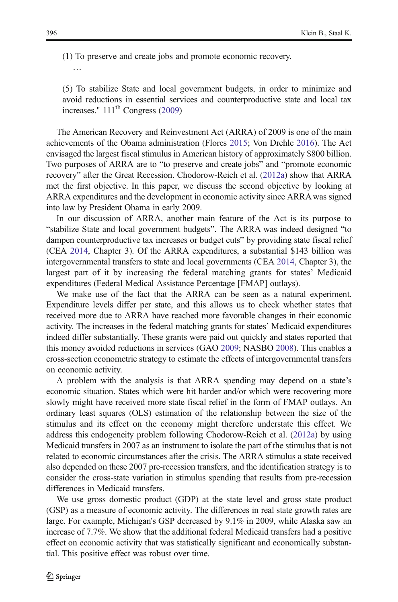(1) To preserve and create jobs and promote economic recovery.

…

(5) To stabilize State and local government budgets, in order to minimize and avoid reductions in essential services and counterproductive state and local tax increases."  $111<sup>th</sup> Congress (2009)$  $111<sup>th</sup> Congress (2009)$ 

The American Recovery and Reinvestment Act (ARRA) of 2009 is one of the main achievements of the Obama administration (Flores [2015](#page-9-0); Von Drehle [2016](#page-9-0)). The Act envisaged the largest fiscal stimulus in American history of approximately \$800 billion. Two purposes of ARRA are to "to preserve and create jobs" and "promote economic recovery" after the Great Recession. Chodorow-Reich et al. [\(2012a](#page-9-0)) show that ARRA met the first objective. In this paper, we discuss the second objective by looking at ARRA expenditures and the development in economic activity since ARRA was signed into law by President Obama in early 2009.

In our discussion of ARRA, another main feature of the Act is its purpose to "stabilize State and local government budgets". The ARRA was indeed designed "to dampen counterproductive tax increases or budget cuts" by providing state fiscal relief (CEA [2014](#page-9-0), Chapter 3). Of the ARRA expenditures, a substantial \$143 billion was intergovernmental transfers to state and local governments (CEA [2014](#page-9-0), Chapter 3), the largest part of it by increasing the federal matching grants for states' Medicaid expenditures (Federal Medical Assistance Percentage [FMAP] outlays).

We make use of the fact that the ARRA can be seen as a natural experiment. Expenditure levels differ per state, and this allows us to check whether states that received more due to ARRA have reached more favorable changes in their economic activity. The increases in the federal matching grants for states' Medicaid expenditures indeed differ substantially. These grants were paid out quickly and states reported that this money avoided reductions in services (GAO [2009;](#page-9-0) NASBO [2008](#page-9-0)). This enables a cross-section econometric strategy to estimate the effects of intergovernmental transfers on economic activity.

A problem with the analysis is that ARRA spending may depend on a state's economic situation. States which were hit harder and/or which were recovering more slowly might have received more state fiscal relief in the form of FMAP outlays. An ordinary least squares (OLS) estimation of the relationship between the size of the stimulus and its effect on the economy might therefore understate this effect. We address this endogeneity problem following Chodorow-Reich et al. ([2012a\)](#page-9-0) by using Medicaid transfers in 2007 as an instrument to isolate the part of the stimulus that is not related to economic circumstances after the crisis. The ARRA stimulus a state received also depended on these 2007 pre-recession transfers, and the identification strategy is to consider the cross-state variation in stimulus spending that results from pre-recession differences in Medicaid transfers.

We use gross domestic product (GDP) at the state level and gross state product (GSP) as a measure of economic activity. The differences in real state growth rates are large. For example, Michigan's GSP decreased by 9.1% in 2009, while Alaska saw an increase of 7.7%. We show that the additional federal Medicaid transfers had a positive effect on economic activity that was statistically significant and economically substantial. This positive effect was robust over time.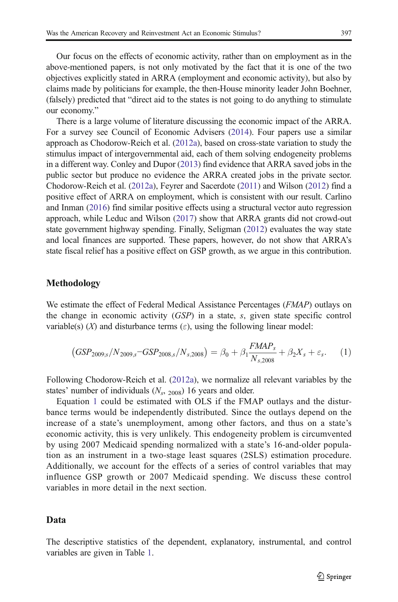<span id="page-2-0"></span>Our focus on the effects of economic activity, rather than on employment as in the above-mentioned papers, is not only motivated by the fact that it is one of the two objectives explicitly stated in ARRA (employment and economic activity), but also by claims made by politicians for example, the then-House minority leader John Boehner, (falsely) predicted that "direct aid to the states is not going to do anything to stimulate our economy."

There is a large volume of literature discussing the economic impact of the ARRA. For a survey see Council of Economic Advisers [\(2014\)](#page-9-0). Four papers use a similar approach as Chodorow-Reich et al. ([2012a\)](#page-9-0), based on cross-state variation to study the stimulus impact of intergovernmental aid, each of them solving endogeneity problems in a different way. Conley and Dupor [\(2013\)](#page-9-0) find evidence that ARRA saved jobs in the public sector but produce no evidence the ARRA created jobs in the private sector. Chodorow-Reich et al. [\(2012a\)](#page-9-0), Feyrer and Sacerdote [\(2011\)](#page-9-0) and Wilson [\(2012](#page-9-0)) find a positive effect of ARRA on employment, which is consistent with our result. Carlino and Inman [\(2016](#page-9-0)) find similar positive effects using a structural vector auto regression approach, while Leduc and Wilson [\(2017\)](#page-9-0) show that ARRA grants did not crowd-out state government highway spending. Finally, Seligman [\(2012\)](#page-9-0) evaluates the way state and local finances are supported. These papers, however, do not show that ARRA's state fiscal relief has a positive effect on GSP growth, as we argue in this contribution.

#### Methodology

We estimate the effect of Federal Medical Assistance Percentages (*FMAP*) outlays on the change in economic activity (GSP) in a state, s, given state specific control variable(s)  $(X)$  and disturbance terms  $(\varepsilon)$ , using the following linear model:

$$
(GSP_{2009,s}/N_{2009,s}-GSP_{2008,s}/N_{s,2008}) = \beta_0 + \beta_1 \frac{FMAP_s}{N_{s,2008}} + \beta_2 X_s + \varepsilon_s. \tag{1}
$$

Following Chodorow-Reich et al. [\(2012a](#page-9-0)), we normalize all relevant variables by the states' number of individuals  $(N_s, 2008)$  16 years and older.

Equation 1 could be estimated with OLS if the FMAP outlays and the disturbance terms would be independently distributed. Since the outlays depend on the increase of a state's unemployment, among other factors, and thus on a state's economic activity, this is very unlikely. This endogeneity problem is circumvented by using 2007 Medicaid spending normalized with a state's 16-and-older population as an instrument in a two-stage least squares (2SLS) estimation procedure. Additionally, we account for the effects of a series of control variables that may influence GSP growth or 2007 Medicaid spending. We discuss these control variables in more detail in the next section.

#### Data

The descriptive statistics of the dependent, explanatory, instrumental, and control variables are given in Table [1.](#page-4-0)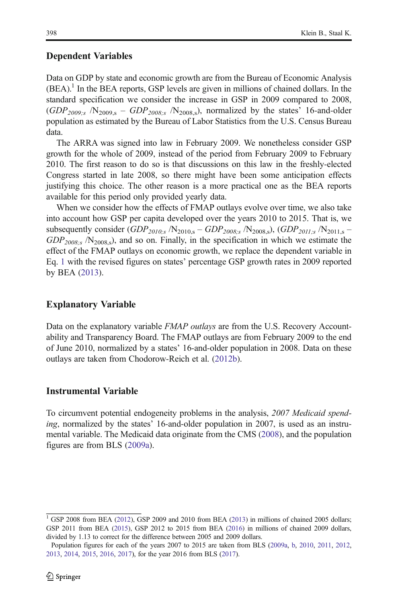# Dependent Variables

Data on GDP by state and economic growth are from the Bureau of Economic Analysis  $(BEA)$ .<sup>1</sup> In the BEA reports, GSP levels are given in millions of chained dollars. In the standard specification we consider the increase in GSP in 2009 compared to 2008,  $(GDP<sub>2009:s</sub>$  /N<sub>2009,s</sub> –  $GDP<sub>2008:s</sub>$  /N<sub>2008,s</sub>), normalized by the states' 16-and-older population as estimated by the Bureau of Labor Statistics from the U.S. Census Bureau data.

The ARRA was signed into law in February 2009. We nonetheless consider GSP growth for the whole of 2009, instead of the period from February 2009 to February 2010. The first reason to do so is that discussions on this law in the freshly-elected Congress started in late 2008, so there might have been some anticipation effects justifying this choice. The other reason is a more practical one as the BEA reports available for this period only provided yearly data.

When we consider how the effects of FMAP outlays evolve over time, we also take into account how GSP per capita developed over the years 2010 to 2015. That is, we subsequently consider  $(GDP_{2010,s} / N_{2010,s} - GDP_{2008,s} / N_{2008,s})$ ,  $(GDP_{2011,s} / N_{2011,s} GDP<sub>2008,s</sub>$  /N<sub>2008,s</sub>), and so on. Finally, in the specification in which we estimate the effect of the FMAP outlays on economic growth, we replace the dependent variable in Eq. [1](#page-2-0) with the revised figures on states' percentage GSP growth rates in 2009 reported by BEA [\(2013](#page-8-0)).

# Explanatory Variable

Data on the explanatory variable FMAP outlays are from the U.S. Recovery Accountability and Transparency Board. The FMAP outlays are from February 2009 to the end of June 2010, normalized by a states' 16-and-older population in 2008. Data on these outlays are taken from Chodorow-Reich et al. [\(2012b\)](#page-9-0).

# Instrumental Variable

To circumvent potential endogeneity problems in the analysis, 2007 Medicaid spending, normalized by the states' 16-and-older population in 2007, is used as an instrumental variable. The Medicaid data originate from the CMS ([2008](#page-9-0)), and the population figures are from BLS [\(2009a\)](#page-8-0).

<sup>&</sup>lt;sup>1</sup> GSP 2008 from BEA [\(2012](#page-8-0)), GSP 2009 and 2010 from BEA ([2013](#page-8-0)) in millions of chained 2005 dollars; GSP 2011 from BEA [\(2015\)](#page-8-0), GSP 2012 to 2015 from BEA [\(2016\)](#page-8-0) in millions of chained 2009 dollars, divided by 1.13 to correct for the difference between 2005 and 2009 dollars.

[Pop](#page-8-0)[ulation](#page-9-0) [figures](#page-9-0) [for](#page-9-0) [each](#page-9-0) [o](#page-9-0)f the years 2007 to 2015 are t[aken](#page-9-0) from BLS ([2009a](#page-8-0), [b](#page-8-0), [2010](#page-8-0), [2011](#page-8-0), [2012](#page-8-0), 2013, 2014, 2015, 2016, 2017), for the year 2016 from BLS (2017). 2013, 2014, 2015, 2016, 2017), for the year 2016 from BLS (2017).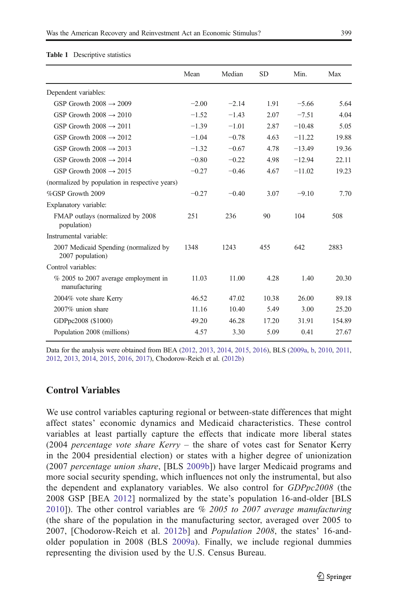|                                                           | Mean    | Median  | SD    | Min.     | Max    |
|-----------------------------------------------------------|---------|---------|-------|----------|--------|
| Dependent variables:                                      |         |         |       |          |        |
| GSP Growth $2008 \rightarrow 2009$                        | $-2.00$ | $-2.14$ | 1.91  | $-5.66$  | 5.64   |
| GSP Growth $2008 \rightarrow 2010$                        | $-1.52$ | $-1.43$ | 2.07  | $-7.51$  | 4.04   |
| GSP Growth $2008 \rightarrow 2011$                        | $-1.39$ | $-1.01$ | 2.87  | $-10.48$ | 5.05   |
| GSP Growth $2008 \rightarrow 2012$                        | $-1.04$ | $-0.78$ | 4.63  | $-11.22$ | 19.88  |
| GSP Growth $2008 \rightarrow 2013$                        | $-1.32$ | $-0.67$ | 4.78  | $-13.49$ | 19.36  |
| GSP Growth $2008 \rightarrow 2014$                        | $-0.80$ | $-0.22$ | 4.98  | $-12.94$ | 22.11  |
| GSP Growth $2008 \rightarrow 2015$                        | $-0.27$ | $-0.46$ | 4.67  | $-11.02$ | 19.23  |
| (normalized by population in respective years)            |         |         |       |          |        |
| %GSP Growth 2009                                          | $-0.27$ | $-0.40$ | 3.07  | $-9.10$  | 7.70   |
| Explanatory variable:                                     |         |         |       |          |        |
| FMAP outlays (normalized by 2008)<br>population)          | 251     | 236     | 90    | 104      | 508    |
| Instrumental variable:                                    |         |         |       |          |        |
| 2007 Medicaid Spending (normalized by<br>2007 population) | 1348    | 1243    | 455   | 642      | 2883   |
| Control variables:                                        |         |         |       |          |        |
| % 2005 to 2007 average employment in<br>manufacturing     | 11.03   | 11.00   | 4.28  | 1.40     | 20.30  |
| 2004% vote share Kerry                                    | 46.52   | 47.02   | 10.38 | 26.00    | 89.18  |
| 2007% union share                                         | 11.16   | 10.40   | 5.49  | 3.00     | 25.20  |
| GDPpc2008 (\$1000)                                        | 49.20   | 46.28   | 17.20 | 31.91    | 154.89 |
| Population 2008 (millions)                                | 4.57    | 3.30    | 5.09  | 0.41     | 27.67  |
|                                                           |         |         |       |          |        |

#### <span id="page-4-0"></span>Table 1 Descriptive statistics

Data for the analysis were obtained from BEA [\(2012,](#page-8-0) [2013,](#page-8-0) [2014](#page-8-0), [2015](#page-8-0), [2016\)](#page-8-0), BLS [\(2009a](#page-8-0), [b](#page-8-0), [2010,](#page-8-0) [2011](#page-8-0), [2012,](#page-8-0) [2013](#page-8-0), [2014](#page-9-0), [2015,](#page-9-0) [2016,](#page-9-0) [2017](#page-9-0)), Chodorow-Reich et al. ([2012b\)](#page-9-0)

### Control Variables

We use control variables capturing regional or between-state differences that might affect states' economic dynamics and Medicaid characteristics. These control variables at least partially capture the effects that indicate more liberal states (2004 percentage vote share Kerry  $-$  the share of votes cast for Senator Kerry in the 2004 presidential election) or states with a higher degree of unionization (2007 percentage union share, [BLS [2009b\]](#page-8-0)) have larger Medicaid programs and more social security spending, which influences not only the instrumental, but also the dependent and explanatory variables. We also control for GDPpc2008 (the 2008 GSP [BEA [2012\]](#page-8-0) normalized by the state's population 16-and-older [BLS [2010](#page-8-0)]). The other control variables are % 2005 to 2007 average manufacturing (the share of the population in the manufacturing sector, averaged over 2005 to 2007, [Chodorow-Reich et al. [2012b\]](#page-9-0) and Population 2008, the states' 16-andolder population in 2008 (BLS [2009a](#page-8-0)). Finally, we include regional dummies representing the division used by the U.S. Census Bureau.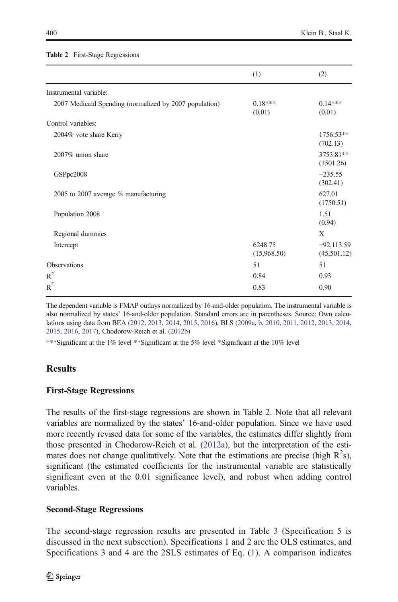#### Table 2 First-Stage Regressions

|                                                        | (1)                    | (2)                         |
|--------------------------------------------------------|------------------------|-----------------------------|
| Instrumental variable:                                 |                        |                             |
| 2007 Medicaid Spending (normalized by 2007 population) | $0.18***$<br>(0.01)    | $0.14***$<br>(0.01)         |
| Control variables:                                     |                        |                             |
| 2004% vote share Kerry                                 |                        | 1756.53**<br>(702.13)       |
| 2007% union share                                      |                        | 3753.81**<br>(1501.26)      |
| GSPpc2008                                              |                        | $-235.55$<br>(302.41)       |
| 2005 to 2007 average % manufacturing                   |                        | 627.01<br>(1750.51)         |
| Population 2008                                        |                        | 1.51<br>(0.94)              |
| Regional dummies                                       |                        | X                           |
| Intercept                                              | 6248.75<br>(15,968.50) | $-92,113.59$<br>(45,501.12) |
| Observations                                           | 51                     | 51                          |
| $R^2$                                                  | 0.84                   | 0.93                        |
| $\overline{R}^2$                                       | 0.83                   | 0.90                        |

The dependent variable is FMAP outlays normalized by 16-and-older population. The instrumental variable is also normalized by states' 16-and-older population. Standard errors are in parentheses. Source: Own calculations using data from BEA ([2012](#page-8-0), [2013,](#page-8-0) [2014](#page-8-0), [2015,](#page-8-0) [2016](#page-8-0)), BLS [\(2009a](#page-8-0), [b](#page-8-0), [2010,](#page-8-0) [2011,](#page-8-0) [2012](#page-8-0), [2013,](#page-8-0) [2014](#page-9-0), [2015,](#page-9-0) [2016](#page-9-0), [2017](#page-9-0)), Chodorow-Reich et al. [\(2012b\)](#page-9-0)

\*\*\*Significant at the 1% level \*\*Significant at the 5% level \*Significant at the 10% level

# **Results**

### First-Stage Regressions

The results of the first-stage regressions are shown in Table 2. Note that all relevant variables are normalized by the states' 16-and-older population. Since we have used more recently revised data for some of the variables, the estimates differ slightly from those presented in Chodorow-Reich et al. ([2012a](#page-9-0)), but the interpretation of the estimates does not change qualitatively. Note that the estimations are precise (high  $R^2$ s), significant (the estimated coefficients for the instrumental variable are statistically significant even at the 0.01 significance level), and robust when adding control variables.

### Second-Stage Regressions

The second-stage regression results are presented in Table [3](#page-6-0) (Specification 5 is discussed in the next subsection). Specifications 1 and 2 are the OLS estimates, and Specifications 3 and 4 are the 2SLS estimates of Eq. ([1](#page-2-0)). A comparison indicates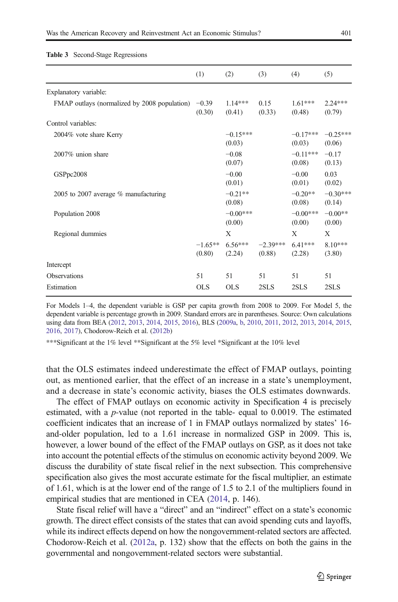|                                              | (1)                  | (2)                  | (3)                  | (4)                  | (5)                  |
|----------------------------------------------|----------------------|----------------------|----------------------|----------------------|----------------------|
| Explanatory variable:                        |                      |                      |                      |                      |                      |
| FMAP outlays (normalized by 2008 population) | $-0.39$<br>(0.30)    | $1.14***$<br>(0.41)  | 0.15<br>(0.33)       | $1.61***$<br>(0.48)  | $2.24***$<br>(0.79)  |
| Control variables:                           |                      |                      |                      |                      |                      |
| 2004% vote share Kerry                       |                      | $-0.15***$<br>(0.03) |                      | $-0.17***$<br>(0.03) | $-0.25***$<br>(0.06) |
| 2007% union share                            |                      | $-0.08$<br>(0.07)    |                      | $-0.11***$<br>(0.08) | $-0.17$<br>(0.13)    |
| GSPpc2008                                    |                      | $-0.00$<br>(0.01)    |                      | $-0.00$<br>(0.01)    | 0.03<br>(0.02)       |
| 2005 to 2007 average $%$ manufacturing       |                      | $-0.21**$<br>(0.08)  |                      | $-0.20**$<br>(0.08)  | $-0.30***$<br>(0.14) |
| Population 2008                              |                      | $-0.00***$<br>(0.00) |                      | $-0.00***$<br>(0.00) | $-0.00**$<br>(0.00)  |
| Regional dummies                             |                      | X                    |                      | X                    | X                    |
|                                              | $-1.65***$<br>(0.80) | $6.56***$<br>(2.24)  | $-2.39***$<br>(0.88) | $6.41***$<br>(2.28)  | $8.10***$<br>(3.80)  |
| Intercept                                    |                      |                      |                      |                      |                      |
| Observations                                 | 51                   | 51                   | 51                   | 51                   | 51                   |
| Estimation                                   | OLS.                 | <b>OLS</b>           | 2SLS                 | 2SLS                 | 2SLS                 |

<span id="page-6-0"></span>Table 3 Second-Stage Regressions

For Models 1–4, the dependent variable is GSP per capita growth from 2008 to 2009. For Model 5, the dependent variable is percentage growth in 2009. Standard errors are in parentheses. Source: Own calculations using data from BEA [\(2012,](#page-8-0) [2013](#page-8-0), [2014](#page-8-0), [2015,](#page-8-0) [2016](#page-8-0)), BLS ([2009a,](#page-8-0) [b,](#page-8-0) [2010](#page-8-0), [2011,](#page-8-0) [2012](#page-8-0), [2013](#page-8-0), [2014,](#page-9-0) [2015](#page-9-0), [2016,](#page-9-0) [2017](#page-9-0)), Chodorow-Reich et al. [\(2012b\)](#page-9-0)

\*\*\*Significant at the 1% level \*\*Significant at the 5% level \*Significant at the 10% level

that the OLS estimates indeed underestimate the effect of FMAP outlays, pointing out, as mentioned earlier, that the effect of an increase in a state's unemployment, and a decrease in state's economic activity, biases the OLS estimates downwards.

The effect of FMAP outlays on economic activity in Specification 4 is precisely estimated, with a p-value (not reported in the table- equal to 0.0019. The estimated coefficient indicates that an increase of 1 in FMAP outlays normalized by states' 16 and-older population, led to a 1.61 increase in normalized GSP in 2009. This is, however, a lower bound of the effect of the FMAP outlays on GSP, as it does not take into account the potential effects of the stimulus on economic activity beyond 2009. We discuss the durability of state fiscal relief in the next subsection. This comprehensive specification also gives the most accurate estimate for the fiscal multiplier, an estimate of 1.61, which is at the lower end of the range of 1.5 to 2.1 of the multipliers found in empirical studies that are mentioned in CEA [\(2014,](#page-9-0) p. 146).

State fiscal relief will have a "direct" and an "indirect" effect on a state's economic growth. The direct effect consists of the states that can avoid spending cuts and layoffs, while its indirect effects depend on how the nongovernment-related sectors are affected. Chodorow-Reich et al. [\(2012a,](#page-9-0) p. 132) show that the effects on both the gains in the governmental and nongovernment-related sectors were substantial.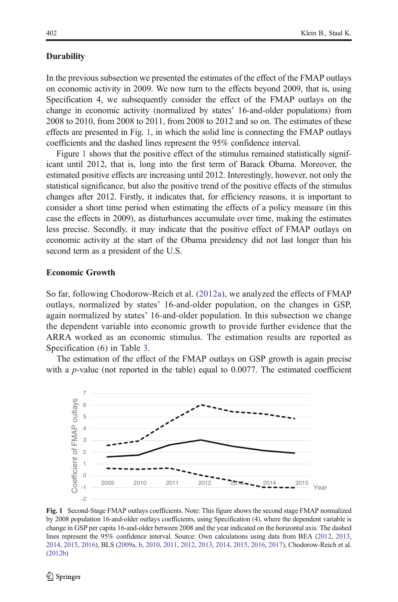#### **Durability**

In the previous subsection we presented the estimates of the effect of the FMAP outlays on economic activity in 2009. We now turn to the effects beyond 2009, that is, using Specification 4, we subsequently consider the effect of the FMAP outlays on the change in economic activity (normalized by states' 16-and-older populations) from 2008 to 2010, from 2008 to 2011, from 2008 to 2012 and so on. The estimates of these effects are presented in Fig. 1, in which the solid line is connecting the FMAP outlays coefficients and the dashed lines represent the 95% confidence interval.

Figure 1 shows that the positive effect of the stimulus remained statistically significant until 2012, that is, long into the first term of Barack Obama. Moreover, the estimated positive effects are increasing until 2012. Interestingly, however, not only the statistical significance, but also the positive trend of the positive effects of the stimulus changes after 2012. Firstly, it indicates that, for efficiency reasons, it is important to consider a short time period when estimating the effects of a policy measure (in this case the effects in 2009), as disturbances accumulate over time, making the estimates less precise. Secondly, it may indicate that the positive effect of FMAP outlays on economic activity at the start of the Obama presidency did not last longer than his second term as a president of the U.S.

#### Economic Growth

So far, following Chodorow-Reich et al. ([2012a\)](#page-9-0), we analyzed the effects of FMAP outlays, normalized by states' 16-and-older population, on the changes in GSP, again normalized by states' 16-and-older population. In this subsection we change the dependent variable into economic growth to provide further evidence that the ARRA worked as an economic stimulus. The estimation results are reported as Specification (6) in Table [3](#page-6-0).

The estimation of the effect of the FMAP outlays on GSP growth is again precise with a *p*-value (not reported in the table) equal to  $0.0077$ . The estimated coefficient



Fig. 1 Second-Stage FMAP outlays coefficients. Note: This figure shows the second stage FMAP normalized by 2008 population 16-and-older outlays coefficients, using Specification (4), where the dependent variable is change in GSP per capita 16-and-older between 2008 and the year indicated on the horizontal axis. The dashed lines represent the 95% confidence interval. Source: Own calculations using data from BEA ([2012](#page-8-0), [2013](#page-8-0), [2014,](#page-8-0) [2015,](#page-8-0) [2016](#page-8-0)), BLS [\(2009a](#page-8-0), [b](#page-8-0), [2010](#page-8-0), [2011,](#page-8-0) [2012](#page-8-0), [2013](#page-8-0), [2014,](#page-9-0) [2015](#page-9-0), [2016,](#page-9-0) [2017](#page-9-0)), Chodorow-Reich et al. ([2012b\)](#page-9-0)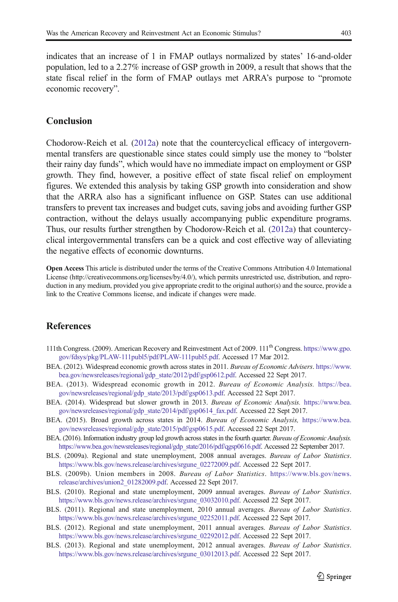<span id="page-8-0"></span>indicates that an increase of 1 in FMAP outlays normalized by states' 16-and-older population, led to a 2.27% increase of GSP growth in 2009, a result that shows that the state fiscal relief in the form of FMAP outlays met ARRA's purpose to "promote economic recovery".

### Conclusion

Chodorow-Reich et al. [\(2012a\)](#page-9-0) note that the countercyclical efficacy of intergovernmental transfers are questionable since states could simply use the money to "bolster their rainy day funds", which would have no immediate impact on employment or GSP growth. They find, however, a positive effect of state fiscal relief on employment figures. We extended this analysis by taking GSP growth into consideration and show that the ARRA also has a significant influence on GSP. States can use additional transfers to prevent tax increases and budget cuts, saving jobs and avoiding further GSP contraction, without the delays usually accompanying public expenditure programs. Thus, our results further strengthen by Chodorow-Reich et al. ([2012a\)](#page-9-0) that countercyclical intergovernmental transfers can be a quick and cost effective way of alleviating the negative effects of economic downturns.

Open Access This article is distributed under the terms of the Creative Commons Attribution 4.0 International License (http://creativecommons.org/licenses/by/4.0/), which permits unrestricted use, distribution, and reproduction in any medium, provided you give appropriate credit to the original author(s) and the source, provide a link to the Creative Commons license, and indicate if changes were made.

### **References**

- 111th Congress. (2009). American Recovery and Reinvestment Act of 2009. 111th Congress. [https://www.gpo.](https://www.gpo.gov/fdsys/pkg/PLAW-111publ5/pdf/PLAW-111publ5.pdf) [gov/fdsys/pkg/PLAW-111publ5/pdf/PLAW-111publ5.pdf](https://www.gpo.gov/fdsys/pkg/PLAW-111publ5/pdf/PLAW-111publ5.pdf). Accessed 17 Mar 2012.
- BEA. (2012). Widespread economic growth across states in 2011. Bureau of Economic Advisers. [https://www.](https://www.bea.gov/newsreleases/regional/gdp_state/2012/pdf/gsp0612.pdf) [bea.gov/newsreleases/regional/gdp\\_state/2012/pdf/gsp0612.pdf](https://www.bea.gov/newsreleases/regional/gdp_state/2012/pdf/gsp0612.pdf). Accessed 22 Sept 2017.
- BEA. (2013). Widespread economic growth in 2012. Bureau of Economic Analysis. [https://bea.](https://bea.gov/newsreleases/regional/gdp_state/2013/pdf/gsp0613.pdf) [gov/newsreleases/regional/gdp\\_state/2013/pdf/gsp0613.pdf](https://bea.gov/newsreleases/regional/gdp_state/2013/pdf/gsp0613.pdf). Accessed 22 Sept 2017.
- BEA. (2014). Widespread but slower growth in 2013. Bureau of Economic Analysis. [https://www.bea.](https://www.bea.gov/newsreleases/regional/gdp_state/2014/pdf/gsp0614_fax.pdf) [gov/newsreleases/regional/gdp\\_state/2014/pdf/gsp0614\\_fax.pdf.](https://www.bea.gov/newsreleases/regional/gdp_state/2014/pdf/gsp0614_fax.pdf) Accessed 22 Sept 2017.
- BEA. (2015). Broad growth across states in 2014. Bureau of Economic Analysis, [https://www.bea.](https://www.bea.gov/newsreleases/regional/gdp_state/2015/pdf/gsp0615.pdf) [gov/newsreleases/regional/gdp\\_state/2015/pdf/gsp0615.pdf](https://www.bea.gov/newsreleases/regional/gdp_state/2015/pdf/gsp0615.pdf). Accessed 22 Sept 2017.
- BEA. (2016). Information industry group led growth across states in the fourth quarter. Bureau of Economic Analysis. [https://www.bea.gov/newsreleases/regional/gdp\\_state/2016/pdf/qgsp0616.pdf](https://www.bea.gov/newsreleases/regional/gdp_state/2016/pdf/qgsp0616.pdf). Accessed 22 September 2017.
- BLS. (2009a). Regional and state unemployment, 2008 annual averages. Bureau of Labor Statistics. [https://www.bls.gov/news.release/archives/srgune\\_02272009.pdf](https://www.bls.gov/news.release/archives/srgune_02272009.pdf). Accessed 22 Sept 2017.
- BLS. (2009b). Union members in 2008. Bureau of Labor Statistics. [https://www.bls.gov/news.](https://www.bls.gov/news.release/archives/union2_01282009.pdf) [release/archives/union2\\_01282009.pdf.](https://www.bls.gov/news.release/archives/union2_01282009.pdf) Accessed 22 Sept 2017.
- BLS. (2010). Regional and state unemployment, 2009 annual averages. Bureau of Labor Statistics. [https://www.bls.gov/news.release/archives/srgune\\_03032010.pdf](https://www.bls.gov/news.release/archives/srgune_03032010.pdf). Accessed 22 Sept 2017.
- BLS. (2011). Regional and state unemployment, 2010 annual averages. Bureau of Labor Statistics. [https://www.bls.gov/news.release/archives/srgune\\_02252011.pdf.](https://www.bls.gov/news.release/archives/srgune_02252011.pdf) Accessed 22 Sept 2017.
- BLS. (2012). Regional and state unemployment, 2011 annual averages. Bureau of Labor Statistics. [https://www.bls.gov/news.release/archives/srgune\\_02292012.pdf](https://www.bls.gov/news.release/archives/srgune_02292012.pdf). Accessed 22 Sept 2017.
- BLS. (2013). Regional and state unemployment, 2012 annual averages. Bureau of Labor Statistics. [https://www.bls.gov/news.release/archives/srgune\\_03012013.pdf](https://www.bls.gov/news.release/archives/srgune_03012013.pdf). Accessed 22 Sept 2017.